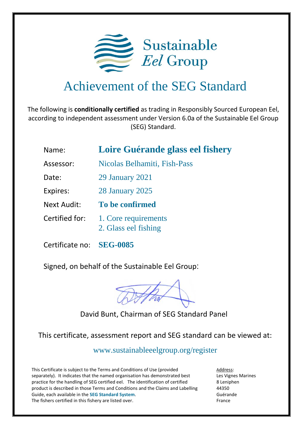

## Achievement of the SEG Standard

The following is **conditionally certified** as trading in Responsibly Sourced European Eel, according to independent assessment under Version 6.0a of the Sustainable Eel Group (SEG) Standard.

## Name: **Loire Guérande glass eel fishery**

- Assessor: Nicolas Belhamiti, Fish-Pass
- Date: 29 January 2021
- Expires: 28 January 2025
- Next Audit: **To be confirmed**
- Certified for: 1. Core requirements 2. Glass eel fishing
- Certificate no: **SEG-0085**

Signed, on behalf of the Sustainable Eel Group:

## David Bunt, Chairman of SEG Standard Panel

This certificate, assessment report and SEG standard can be viewed at:

<www.sustainableeelgroup.org/register>

This Certificate is subject to the Terms and Conditions of Use (provided separately). It indicates that the named organisation has demonstrated best practice for the handling of SEG certified eel. The identification of certified product is described in those Terms and Conditions and the Claims and Labelling Guide, each available in the **[SEG Standard System](https://www.sustainableeelgroup.org/the-seg-standard-system/)**. The fishers certified in this fishery are listed over.

Address: Les Vignes Marines 8 Leniphen 44350 Guérande France